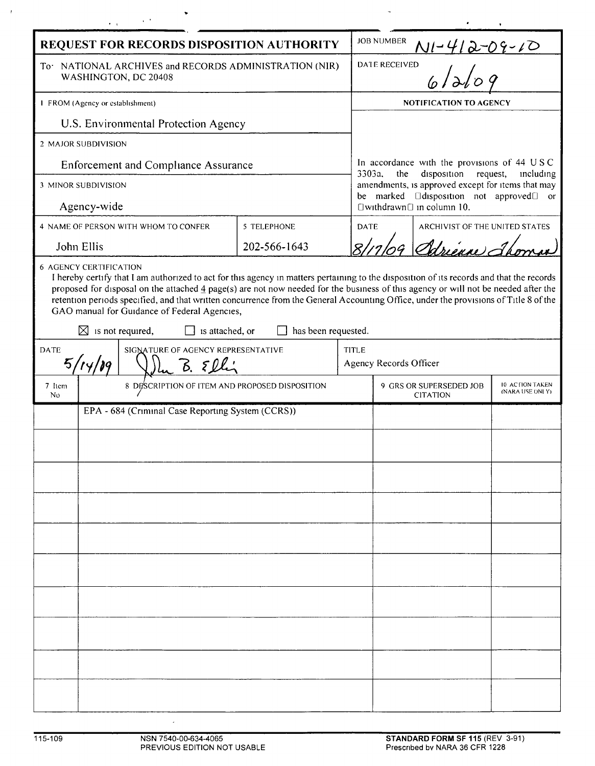|                                                                                                                                                                                                                                                                                                                                                                                                                                                                                                                                                               | $\omega_{\rm eff}$ and $\omega_{\rm eff}$      |              |             |                                                                                                                                                                                                                                         |                                |  |  |
|---------------------------------------------------------------------------------------------------------------------------------------------------------------------------------------------------------------------------------------------------------------------------------------------------------------------------------------------------------------------------------------------------------------------------------------------------------------------------------------------------------------------------------------------------------------|------------------------------------------------|--------------|-------------|-----------------------------------------------------------------------------------------------------------------------------------------------------------------------------------------------------------------------------------------|--------------------------------|--|--|
| REQUEST FOR RECORDS DISPOSITION AUTHORITY                                                                                                                                                                                                                                                                                                                                                                                                                                                                                                                     |                                                |              |             | <b>JOB NUMBER</b><br>$N1 - 412 - 04 - 10$                                                                                                                                                                                               |                                |  |  |
| To NATIONAL ARCHIVES and RECORDS ADMINISTRATION (NIR)<br>WASHINGTON, DC 20408                                                                                                                                                                                                                                                                                                                                                                                                                                                                                 |                                                |              |             | DATE RECEIVED                                                                                                                                                                                                                           |                                |  |  |
| 1 FROM (Agency or establishment)                                                                                                                                                                                                                                                                                                                                                                                                                                                                                                                              |                                                |              |             | <b>NOTIFICATION TO AGENCY</b>                                                                                                                                                                                                           |                                |  |  |
| U.S. Environmental Protection Agency                                                                                                                                                                                                                                                                                                                                                                                                                                                                                                                          |                                                |              |             |                                                                                                                                                                                                                                         |                                |  |  |
| 2 MAJOR SUBDIVISION                                                                                                                                                                                                                                                                                                                                                                                                                                                                                                                                           |                                                |              |             |                                                                                                                                                                                                                                         |                                |  |  |
| <b>Enforcement and Compliance Assurance</b>                                                                                                                                                                                                                                                                                                                                                                                                                                                                                                                   |                                                |              |             | In accordance with the provisions of 44 USC<br>3303a,<br>disposition<br>the<br>request,<br>including<br>amendments, is approved except for items that may<br>be marked <b>Edisposition</b> not approved or<br>□withdrawn□ in column 10. |                                |  |  |
| 3 MINOR SUBDIVISION                                                                                                                                                                                                                                                                                                                                                                                                                                                                                                                                           |                                                |              |             |                                                                                                                                                                                                                                         |                                |  |  |
| Agency-wide                                                                                                                                                                                                                                                                                                                                                                                                                                                                                                                                                   |                                                |              |             |                                                                                                                                                                                                                                         |                                |  |  |
|                                                                                                                                                                                                                                                                                                                                                                                                                                                                                                                                                               | 4 NAME OF PERSON WITH WHOM TO CONFER           | 5 TELEPHONE  | <b>DATE</b> |                                                                                                                                                                                                                                         | ARCHIVIST OF THE UNITED STATES |  |  |
|                                                                                                                                                                                                                                                                                                                                                                                                                                                                                                                                                               | John Ellis                                     | 202-566-1643 |             |                                                                                                                                                                                                                                         | 29 Adminue Jk                  |  |  |
| I hereby certify that I am authorized to act for this agency in matters pertaining to the disposition of its records and that the records<br>proposed for disposal on the attached $\frac{4}{9}$ page(s) are not now needed for the business of this agency or will not be needed after the<br>retention periods specified, and that written concurrence from the General Accounting Office, under the provisions of Title 8 of the<br>GAO manual for Guidance of Federal Agencies,<br>$\boxtimes$ is not required,<br>has been requested.<br>is attached, or |                                                |              |             |                                                                                                                                                                                                                                         |                                |  |  |
| <b>DATE</b>                                                                                                                                                                                                                                                                                                                                                                                                                                                                                                                                                   | SIGNATURE OF AGENCY REPRESENTATIVE<br>5/14/19  |              |             | <b>TITLE</b><br>Agency Records Officer                                                                                                                                                                                                  |                                |  |  |
| 7 Item<br>No.                                                                                                                                                                                                                                                                                                                                                                                                                                                                                                                                                 | 8 DESCRIPTION OF ITEM AND PROPOSED DISPOSITION |              |             | 9 GRS OR SUPERSEDED JOB<br>10 ACTION TAKEN<br>(NARA USE ONLY)<br><b>CITATION</b>                                                                                                                                                        |                                |  |  |
| EPA - 684 (Criminal Case Reporting System (CCRS))                                                                                                                                                                                                                                                                                                                                                                                                                                                                                                             |                                                |              |             |                                                                                                                                                                                                                                         |                                |  |  |
|                                                                                                                                                                                                                                                                                                                                                                                                                                                                                                                                                               |                                                |              |             |                                                                                                                                                                                                                                         |                                |  |  |
|                                                                                                                                                                                                                                                                                                                                                                                                                                                                                                                                                               |                                                |              |             |                                                                                                                                                                                                                                         |                                |  |  |
|                                                                                                                                                                                                                                                                                                                                                                                                                                                                                                                                                               |                                                |              |             |                                                                                                                                                                                                                                         |                                |  |  |
|                                                                                                                                                                                                                                                                                                                                                                                                                                                                                                                                                               |                                                |              |             |                                                                                                                                                                                                                                         |                                |  |  |
|                                                                                                                                                                                                                                                                                                                                                                                                                                                                                                                                                               |                                                |              |             |                                                                                                                                                                                                                                         |                                |  |  |
|                                                                                                                                                                                                                                                                                                                                                                                                                                                                                                                                                               |                                                |              |             |                                                                                                                                                                                                                                         |                                |  |  |
|                                                                                                                                                                                                                                                                                                                                                                                                                                                                                                                                                               |                                                |              |             |                                                                                                                                                                                                                                         |                                |  |  |
|                                                                                                                                                                                                                                                                                                                                                                                                                                                                                                                                                               |                                                |              |             |                                                                                                                                                                                                                                         |                                |  |  |
|                                                                                                                                                                                                                                                                                                                                                                                                                                                                                                                                                               |                                                |              |             |                                                                                                                                                                                                                                         |                                |  |  |
|                                                                                                                                                                                                                                                                                                                                                                                                                                                                                                                                                               |                                                |              |             |                                                                                                                                                                                                                                         |                                |  |  |
|                                                                                                                                                                                                                                                                                                                                                                                                                                                                                                                                                               |                                                |              |             |                                                                                                                                                                                                                                         |                                |  |  |
|                                                                                                                                                                                                                                                                                                                                                                                                                                                                                                                                                               |                                                |              |             |                                                                                                                                                                                                                                         |                                |  |  |
|                                                                                                                                                                                                                                                                                                                                                                                                                                                                                                                                                               |                                                |              |             |                                                                                                                                                                                                                                         |                                |  |  |

 $\sim$   $t$  .

 $\bar{\mathcal{A}}$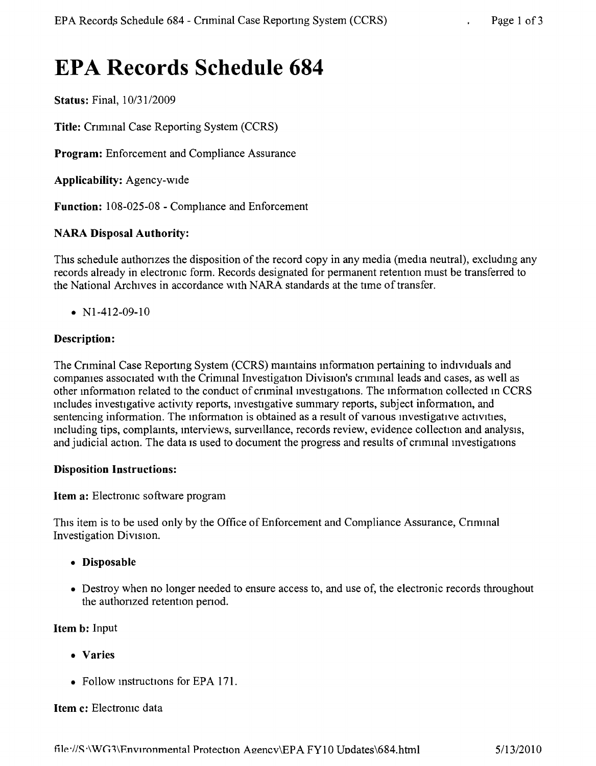# **EPA Records Schedule 684**

Status: Final,  $10/31/2009$ 

Title: Criminal Case Reporting System (CCRS)

Program: Enforcement and Compliance Assurance

Applicability: Agency-wide

Function: 108-025-08 - Comphance and Enforcement

## NARA Disposal Authority:

This schedule authorizes the disposition of the record copy in any media (media neutral), excluding any records already in electronic form. Records designated for permanent retention must be transferred to the National Archives in accordance With NARA standards at the time of transfer.

•  $N1-412-09-10$ 

## Description:

The Criminal Case Reporting System (CCRS) maintains information pertaining to individuals and companies associated with the Criminal Investigation Division's criminal leads and cases, as well as other mformation related to the conduct of cnminal mvestigations. The information collected m CCRS mcludes investigative activity reports, mvestigative summary reports, subject information, and sentencing information. The information is obtained as a result of various investigative activities, including tips, complaints, interviews, surveillance, records review, evidence collection and analysis, and judicial action. The data is used to document the progress and results of criminal investigations

#### Disposition Instructions:

Item a: Electronic software program

This item is to be used only by the Office of Enforcement and Compliance Assurance, Criminal Investigation DiVISIon.

- Disposable
- Destroy when no longer needed to ensure access to, and use of, the electronic records throughout the authonzed retention penod.

Item b: Input

- • Varies
- Follow instructions for EPA 171.

#### Item c: Electronic data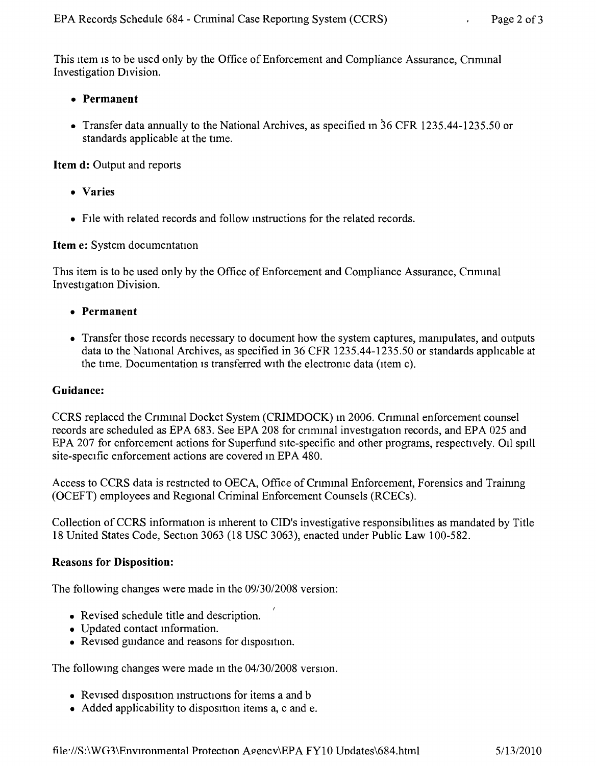This item is to be used only by the Office of Enforcement and Compliance Assurance, Criminal Investigation DIvision.

## **• Permanent**

• Transfer data annually to the National Archives, as specified in 36 CFR 1235.44-1235.50 or standards applicable at the time,

**Item d:** Output and reports

- **• Varies**
- FIle with related records and follow instructions for the related records.

## **Item** e: System documentation

This item is to be used only by the Office of Enforcement and Compliance Assurance, Criminal Investigation Division.

- **• Permanent**
- Transfer those records necessary to document how the system captures, manipulates, and outputs data to the National Archives, as specified in 36 CFR 1235.44-1235.50 or standards applicable at the time. Documentation is transferred with the electronic data (item c).

#### **Guidance:**

CCRS replaced the Cnmmal Docket System (CRIMDOCK) m 2006. Cnmmal enforcement counsel records are scheduled as EPA 683. See EPA 208 for criminal investigation records, and EPA 025 and EPA 207 for enforcement actions for Superfund site-specific and other programs, respectively. 011 spill site-specific enforcement actions are covered m EPA 480.

Access to CCRS data is restricted to OECA, Office of Criminal Enforcement, Forensics and Training (OCEFT) employees and Regional Criminal Enforcement Counsels (RCECs).

Collection of CCRS information is inherent to CID's investigative responsibilities as mandated by Title 18 United States Code, Section 3063 (18 USC 3063), enacted under Public Law 100-582.

#### **Reasons for Disposition:**

The following changes were made in the *09/3012008* version:

- Revised schedule title and description.
- • Updated contact information.
- $\bullet$  Revised guidance and reasons for disposition.

The followmg changes were made m the *04/30/2008* version,

- Revised disposition instructions for items a and b
- Added applicability to disposition items a, c and e.